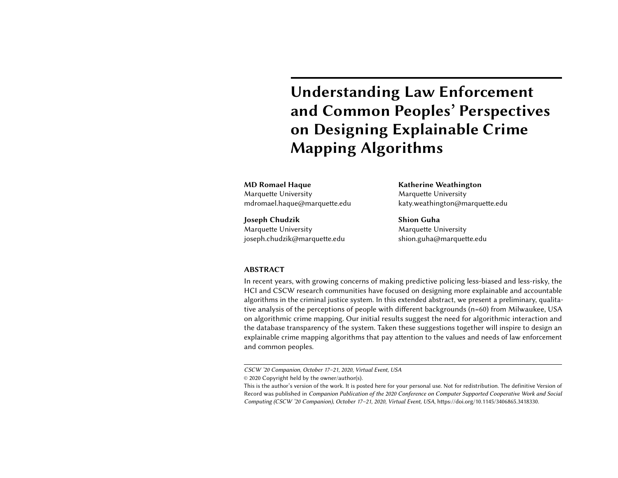# Understanding Law Enforcement and Common Peoples' Perspectives on Designing Explainable Crime Mapping Algorithms

MD Romael Haque Marquette University mdromael.haque@marquette.edu

Joseph Chudzik Marquette University joseph.chudzik@marquette.edu Katherine Weathington Marquette University katy.weathington@marquette.edu

Shion Guha Marquette University shion.guha@marquette.edu

#### ABSTRACT

In recent years, with growing concerns of making predictive policing less-biased and less-risky, the HCI and CSCW research communities have focused on designing more explainable and accountable algorithms in the criminal justice system. In this extended abstract, we present a preliminary, qualitative analysis of the perceptions of people with different backgrounds (n=60) from Milwaukee, USA on algorithmic crime mapping. Our initial results suggest the need for algorithmic interaction and the database transparency of the system. Taken these suggestions together will inspire to design an explainable crime mapping algorithms that pay attention to the values and needs of law enforcement and common peoples.

CSCW '20 Companion, October 17–21, 2020, Virtual Event, USA

<sup>©</sup> 2020 Copyright held by the owner/author(s).

This is the author's version of the work. It is posted here for your personal use. Not for redistribution. The definitive Version of Record was published in Companion Publication of the 2020 Conference on Computer Supported Cooperative Work and Social Computing (CSCW '20 Companion), October 17–21, 2020, Virtual Event, USA, [https://doi.org/10.1145/3406865.3418330.](https://doi.org/10.1145/3406865.3418330)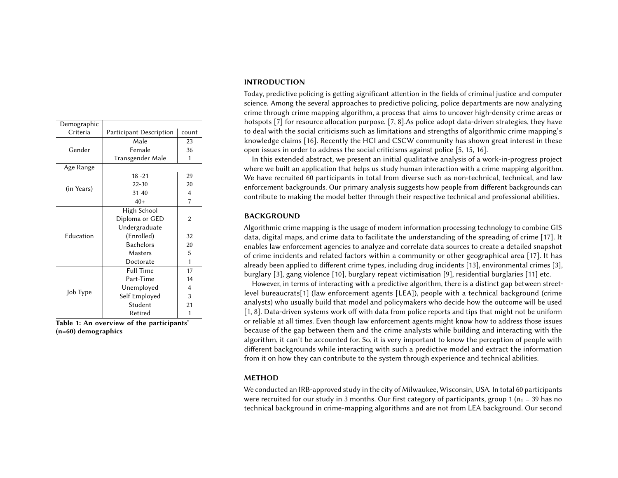| Demographic      |                         |       |
|------------------|-------------------------|-------|
| Criteria         | Participant Description | count |
| Gender           | Male                    | 23    |
|                  | Female                  | 36    |
|                  | Transgender Male        | 1     |
| Age Range        |                         |       |
| (in Years)       | $18 - 21$               | 29    |
|                  | $22 - 30$               | 20    |
|                  | $31 - 40$               | 4     |
|                  | $40+$                   | 7     |
| <b>Education</b> | High School             |       |
|                  | Diploma or GED          | 2     |
|                  | Undergraduate           |       |
|                  | (Enrolled)              | 32    |
|                  | <b>Bachelors</b>        | 20    |
|                  | Masters                 | 5     |
|                  | Doctorate               | 1     |
| Job Type         | Full-Time               | 17    |
|                  | Part-Time               | 14    |
|                  | Unemployed              | 4     |
|                  | Self Employed           | 3     |
|                  | Student                 | 21    |
|                  | Retired                 | 1     |

Table 1: An overview of the participants' (n=60) demographics

### INTRODUCTION

Today, predictive policing is getting significant attention in the fields of criminal justice and computer science. Among the several approaches to predictive policing, police departments are now analyzing crime through crime mapping algorithm, a process that aims to uncover high-density crime areas or hotspots [\[7\]](#page-4-0) for resource allocation purpose. [\[7,](#page-4-0) [8\]](#page-4-1). As police adopt data-driven strategies, they have to deal with the social criticisms such as limitations and strengths of algorithmic crime mapping's knowledge claims [\[16\]](#page-4-2). Recently the HCI and CSCW community has shown great interest in these open issues in order to address the social criticisms against police [\[5,](#page-4-3) [15,](#page-4-4) [16\]](#page-4-2).

In this extended abstract, we present an initial qualitative analysis of a work-in-progress project where we built an application that helps us study human interaction with a crime mapping algorithm. We have recruited 60 participants in total from diverse such as non-technical, technical, and law enforcement backgrounds. Our primary analysis suggests how people from different backgrounds can contribute to making the model better through their respective technical and professional abilities.

### BACKGROUND

Algorithmic crime mapping is the usage of modern information processing technology to combine GIS data, digital maps, and crime data to facilitate the understanding of the spreading of crime [\[17\]](#page-4-5). It enables law enforcement agencies to analyze and correlate data sources to create a detailed snapshot of crime incidents and related factors within a community or other geographical area [\[17\]](#page-4-5). It has already been applied to different crime types, including drug incidents [\[13\]](#page-4-6), environmental crimes [\[3\]](#page-4-7), burglary [\[3\]](#page-4-7), gang violence [\[10\]](#page-4-8), burglary repeat victimisation [\[9\]](#page-4-9), residential burglaries [\[11\]](#page-4-10) etc.

However, in terms of interacting with a predictive algorithm, there is a distinct gap between streetlevel bureaucrats[\[1\]](#page-4-11) (law enforcement agents [LEA]), people with a technical background (crime analysts) who usually build that model and policymakers who decide how the outcome will be used [\[1,](#page-4-11) [8\]](#page-4-1). Data-driven systems work off with data from police reports and tips that might not be uniform or reliable at all times. Even though law enforcement agents might know how to address those issues because of the gap between them and the crime analysts while building and interacting with the algorithm, it can't be accounted for. So, it is very important to know the perception of people with different backgrounds while interacting with such a predictive model and extract the information from it on how they can contribute to the system through experience and technical abilities.

## METHOD

We conducted an IRB-approved study in the city of Milwaukee, Wisconsin, USA. In total 60 participants were recruited for our study in 3 months. Our first category of participants, group 1 ( $n_1$  = 39 has no technical background in crime-mapping algorithms and are not from LEA background. Our second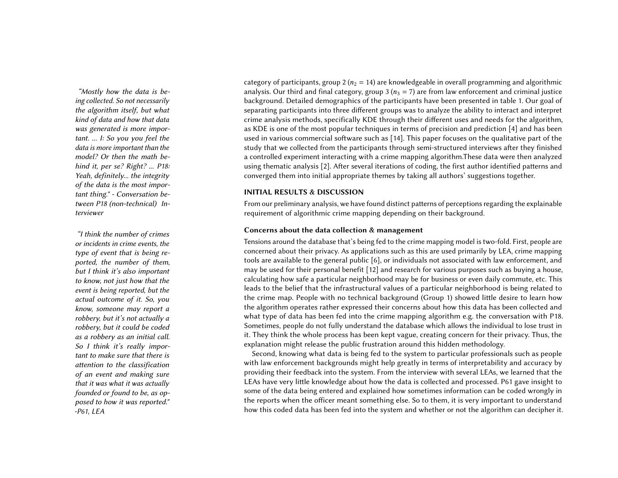ing collected. So not necessarily the algorithm itself, but what kind of data and how that data was generated is more important. ... I: So you you feel the data is more important than the model? Or then the math behind it, per se? Right? ... P18: Yeah, definitely... the integrity of the data is the most important thing." - Conversation between P18 (non-technical) Interviewer

or incidents in crime events, the type of event that is being reported, the number of them, but I think it's also important to know, not just how that the event is being reported, but the actual outcome of it. So, you know, someone may report a robbery, but it's not actually a robbery, but it could be coded as a robbery as an initial call. So I think it's really important to make sure that there is attention to the classification of an event and making sure that it was what it was actually founded or found to be, as opposed to how it was reported." -P61, LEA

category of participants, group 2 ( $n_2 = 14$ ) are knowledgeable in overall programming and algorithmic "Mostly how the data is be-  $\blacksquare$  analysis. Our third and final category, group 3 ( $n_3 = 7$ ) are from law enforcement and criminal justice background. Detailed demographics of the participants have been presented in table 1. Our goal of separating participants into three different groups was to analyze the ability to interact and interpret crime analysis methods, specifically KDE through their different uses and needs for the algorithm, as KDE is one of the most popular techniques in terms of precision and prediction [\[4\]](#page-4-12) and has been used in various commercial software such as [\[14\]](#page-4-13). This paper focuses on the qualitative part of the study that we collected from the participants through semi-structured interviews after they finished a controlled experiment interacting with a crime mapping algorithm.These data were then analyzed using thematic analysis [\[2\]](#page-4-14). After several iterations of coding, the first author identified patterns and converged them into initial appropriate themes by taking all authors' suggestions together.

### INITIAL RESULTS & DISCUSSION

From our preliminary analysis, we have found distinct patterns of perceptions regarding the explainable requirement of algorithmic crime mapping depending on their background.

# Concerns about the data collection & management "I think the number of crimes

Tensions around the database that's being fed to the crime mapping model is two-fold. First, people are concerned about their privacy. As applications such as this are used primarily by LEA, crime mapping tools are available to the general public [\[6\]](#page-4-15), or individuals not associated with law enforcement, and may be used for their personal benefit [\[12\]](#page-4-16) and research for various purposes such as buying a house, calculating how safe a particular neighborhood may be for business or even daily commute, etc. This leads to the belief that the infrastructural values of a particular neighborhood is being related to the crime map. People with no technical background (Group 1) showed little desire to learn how the algorithm operates rather expressed their concerns about how this data has been collected and what type of data has been fed into the crime mapping algorithm e.g. the conversation with P18. Sometimes, people do not fully understand the database which allows the individual to lose trust in it. They think the whole process has been kept vague, creating concern for their privacy. Thus, the explanation might release the public frustration around this hidden methodology.

Second, knowing what data is being fed to the system to particular professionals such as people with law enforcement backgrounds might help greatly in terms of interpretability and accuracy by providing their feedback into the system. From the interview with several LEAs, we learned that the LEAs have very little knowledge about how the data is collected and processed. P61 gave insight to some of the data being entered and explained how sometimes information can be coded wrongly in the reports when the officer meant something else. So to them, it is very important to understand how this coded data has been fed into the system and whether or not the algorithm can decipher it.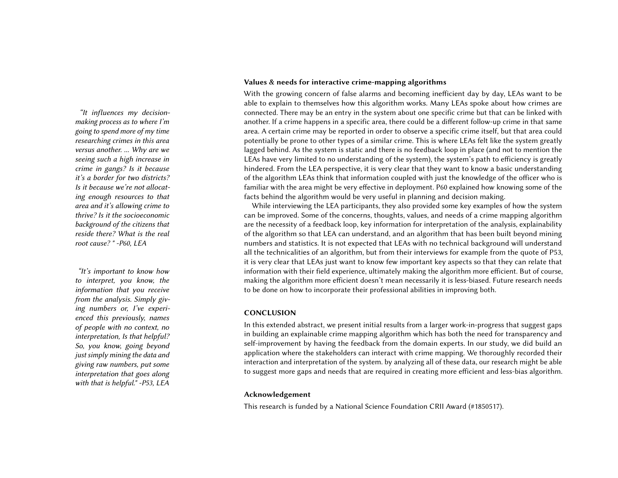making process as to where I'm going to spend more of my time researching crimes in this area versus another. ... Why are we seeing such a high increase in crime in gangs? Is it because it's a border for two districts? Is it because we're not allocating enough resources to that area and it's allowing crime to thrive? Is it the socioeconomic background of the citizens that reside there? What is the real root cause? " -P60, LEA

to interpret, you know, the information that you receive from the analysis. Simply giving numbers or, I've experienced this previously, names of people with no context, no interpretation, Is that helpful? So, you know, going beyond just simply mining the data and giving raw numbers, put some interpretation that goes along with that is helpful." -P53, LEA

### Values & needs for interactive crime-mapping algorithms

With the growing concern of false alarms and becoming inefficient day by day, LEAs want to be able to explain to themselves how this algorithm works. Many LEAs spoke about how crimes are "It influences my decision- connected. There may be an entry in the system about one specific crime but that can be linked with another. If a crime happens in a specific area, there could be a different follow-up crime in that same area. A certain crime may be reported in order to observe a specific crime itself, but that area could potentially be prone to other types of a similar crime. This is where LEAs felt like the system greatly lagged behind. As the system is static and there is no feedback loop in place (and not to mention the LEAs have very limited to no understanding of the system), the system's path to efficiency is greatly hindered. From the LEA perspective, it is very clear that they want to know a basic understanding of the algorithm LEAs think that information coupled with just the knowledge of the officer who is familiar with the area might be very effective in deployment. P60 explained how knowing some of the facts behind the algorithm would be very useful in planning and decision making.

While interviewing the LEA participants, they also provided some key examples of how the system can be improved. Some of the concerns, thoughts, values, and needs of a crime mapping algorithm are the necessity of a feedback loop, key information for interpretation of the analysis, explainability of the algorithm so that LEA can understand, and an algorithm that has been built beyond mining numbers and statistics. It is not expected that LEAs with no technical background will understand all the technicalities of an algorithm, but from their interviews for example from the quote of P53, it is very clear that LEAs just want to know few important key aspects so that they can relate that "It's important to know how information with their field experience, ultimately making the algorithm more efficient. But of course, making the algorithm more efficient doesn't mean necessarily it is less-biased. Future research needs to be done on how to incorporate their professional abilities in improving both.

### **CONCLUSION**

In this extended abstract, we present initial results from a larger work-in-progress that suggest gaps in building an explainable crime mapping algorithm which has both the need for transparency and self-improvement by having the feedback from the domain experts. In our study, we did build an application where the stakeholders can interact with crime mapping. We thoroughly recorded their interaction and interpretation of the system. by analyzing all of these data, our research might be able to suggest more gaps and needs that are required in creating more efficient and less-bias algorithm.

### Acknowledgement

This research is funded by a National Science Foundation CRII Award (#1850517).